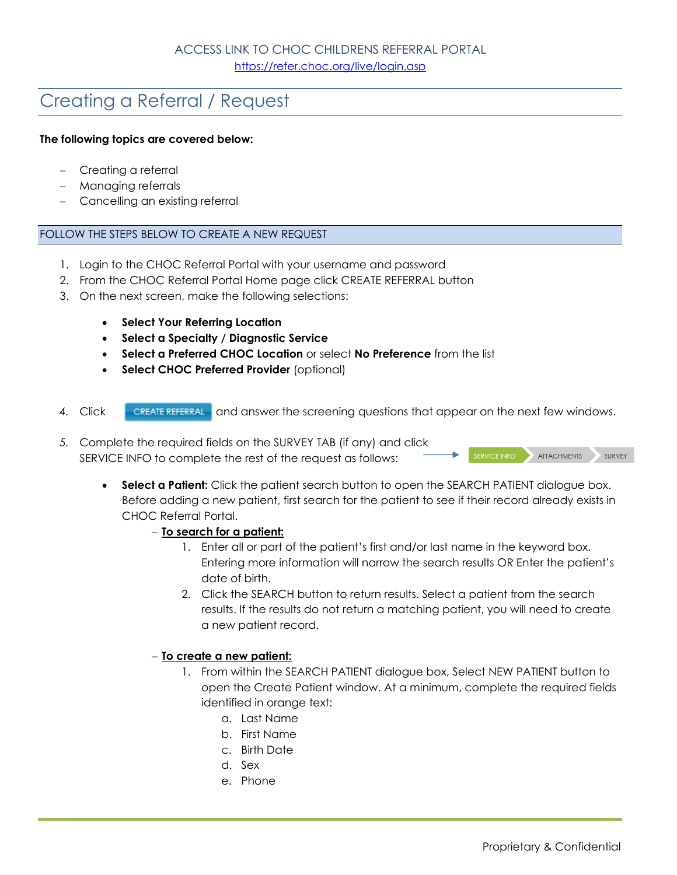# Creating a Referral / Request

# **The following topics are covered below:**

- Creating a referral
- Managing referrals
- Cancelling an existing referral

# FOLLOW THE STEPS BELOW TO CREATE A NEW REQUEST

- 1. Login to the CHOC Referral Portal with your username and password
- 2. From the CHOC Referral Portal Home page click CREATE REFERRAL button
- 3. On the next screen, make the following selections:
	- **•** Select Your Referring Location
	- **Select a Specialty / Diagnostic Service**
	- **Select a Preferred CHOC Location** or select **No Preference** from the list
	- **Select CHOC Preferred Provider (optional)**
- 4. Click **CREATE REFERRAL** and answer the screening questions that appear on the next few windows.
- *5.* Complete the required fields on the SURVEY TAB (if any) and click SERVICE INFO to complete the rest of the request as follows:

**Select a Patient:** Click the patient search button to open the SEARCH PATIENT dialogue box. Before adding a new patient, first search for the patient to see if their record already exists in CHOC Referral Portal.

#### **To search for a patient:**

- 1. Enter all or part of the patient's first and/or last name in the keyword box. Entering more information will narrow the search results OR Enter the patient's date of birth.
- 2. Click the SEARCH button to return results. Select a patient from the search results. If the results do not return a matching patient, you will need to create a new patient record.

#### **To create a new patient:**

- 1. From within the SEARCH PATIENT dialogue box, Select NEW PATIENT button to open the Create Patient window. At a minimum, complete the required fields identified in orange text:
	- a. Last Name
	- b. First Name
	- c. Birth Date
	- d. Sex
	- e. Phone

ATTACHMENTS

SURVEY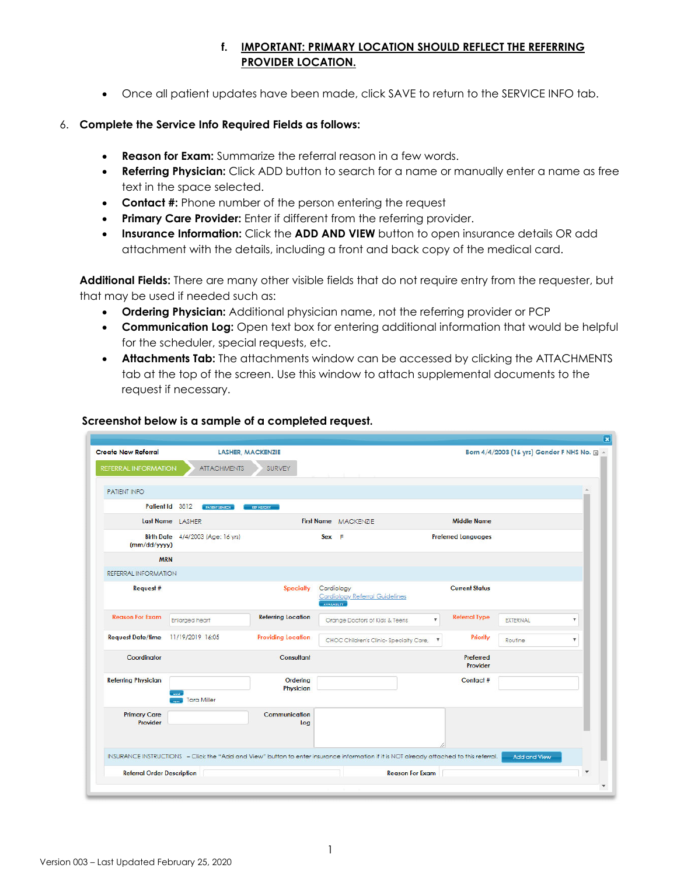# **f. IMPORTANT: PRIMARY LOCATION SHOULD REFLECT THE REFERRING PROVIDER LOCATION.**

Once all patient updates have been made, click SAVE to return to the SERVICE INFO tab.

# 6. **Complete the Service Info Required Fields as follows:**

- **Reason for Exam:** Summarize the referral reason in a few words.
- **Referring Physician:** Click ADD button to search for a name or manually enter a name as free text in the space selected.
- **Contact #:** Phone number of the person entering the request
- **Primary Care Provider:** Enter if different from the referring provider.
- **Insurance Information:** Click the ADD AND VIEW button to open insurance details OR add attachment with the details, including a front and back copy of the medical card.

**Additional Fields:** There are many other visible fields that do not require entry from the requester, but that may be used if needed such as:

- **Ordering Physician:** Additional physician name, not the referring provider or PCP
- **Communication Log:** Open text box for entering additional information that would be helpful for the scheduler, special requests, etc.
- **Attachments Tab:** The attachments window can be accessed by clicking the ATTACHMENTS tab at the top of the screen. Use this window to attach supplemental documents to the request if necessary.

| <b>Create New Referral</b>        | <b>LASHER, MACKENZIE</b>                                                                                                                |                           |                                                                   |                           |                            | Born 4/4/2003 (16 yrs) Gender F NHS No. + |                           |
|-----------------------------------|-----------------------------------------------------------------------------------------------------------------------------------------|---------------------------|-------------------------------------------------------------------|---------------------------|----------------------------|-------------------------------------------|---------------------------|
| <b>REFERRAL INFORMATION</b>       | <b>ATTACHMENTS</b>                                                                                                                      | <b>SURVEY</b>             |                                                                   |                           |                            |                                           |                           |
| <b>PATIENT INFO</b>               |                                                                                                                                         |                           |                                                                   |                           |                            |                                           |                           |
|                                   | Patient Id 3812<br><b>PATENT SEARCH</b>                                                                                                 | <b>REF HISTORY</b>        |                                                                   |                           |                            |                                           |                           |
|                                   | Last Name LASHER                                                                                                                        |                           | First Name MACKENZIE                                              |                           | <b>Middle Name</b>         |                                           |                           |
| (mm/dd/yyyy)                      | Birth Date 4/4/2003 (Age: 16 yrs)                                                                                                       |                           | Sex F                                                             |                           | <b>Preferred Languages</b> |                                           |                           |
|                                   | <b>MRN</b>                                                                                                                              |                           |                                                                   |                           |                            |                                           |                           |
| REFERRAL INFORMATION              |                                                                                                                                         |                           |                                                                   |                           |                            |                                           |                           |
| Request #                         |                                                                                                                                         | <b>Specialty</b>          | Cardiology<br><b>Cardiology Referral Guidelines</b><br>AVALABLITY |                           | <b>Current Status</b>      |                                           |                           |
| <b>Reason For Exam</b>            | <b>Enlarged heart</b>                                                                                                                   | <b>Referring Location</b> | Orange Doctors of Kids & Teens                                    | $\boldsymbol{\mathrm{v}}$ | <b>Referral Type</b>       | <b>EXTERNAL</b>                           | $\boldsymbol{\mathrm{v}}$ |
| <b>Request Date/time</b>          | 11/19/2019 16:05                                                                                                                        | <b>Providing Location</b> | CHOC Children's Clinic-Specialty Care,                            | $\boldsymbol{\mathrm{v}}$ | Priority                   | Routine                                   | $\boldsymbol{\mathrm{v}}$ |
| Coordinator                       |                                                                                                                                         | Consultant                |                                                                   |                           | Preferred<br>Provider      |                                           |                           |
| <b>Referring Physician</b>        |                                                                                                                                         | Ordering<br>Physician     |                                                                   |                           | Contact #                  |                                           |                           |
|                                   | <b>Tara Miller</b>                                                                                                                      |                           |                                                                   |                           |                            |                                           |                           |
| <b>Primary Care</b><br>Provider   |                                                                                                                                         | Communication<br>Log      |                                                                   |                           |                            |                                           |                           |
|                                   | INSURANCE INSTRUCTIONS - Click the "Add and View" button to enter insurance information if it is NOT already attached to this referral. |                           |                                                                   |                           |                            | <b>Add and View</b>                       |                           |
| <b>Referral Order Description</b> |                                                                                                                                         |                           |                                                                   | <b>Reason For Exam</b>    |                            |                                           | $\overline{\mathbf{v}}$   |

#### **Screenshot below is a sample of a completed request.**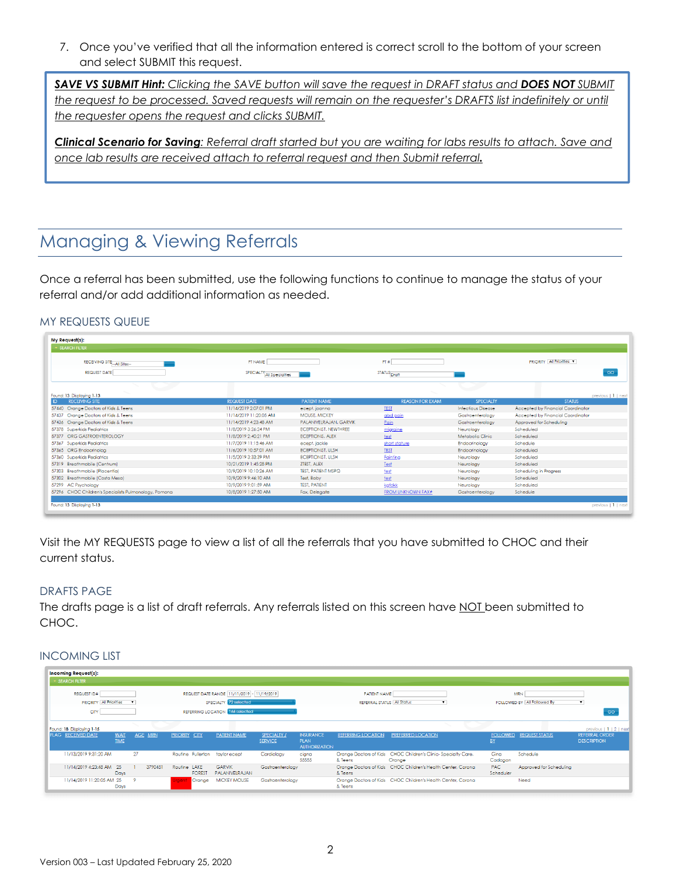7. Once you've verified that all the information entered is correct scroll to the bottom of your screen and select SUBMIT this request.

*SAVE VS SUBMIT Hint: Clicking the SAVE button will save the request in DRAFT status and DOES NOT SUBMIT the request to be processed. Saved requests will remain on the requester's DRAFTS list indefinitely or until the requester opens the request and clicks SUBMIT.* 

*Clinical Scenario for Saving: Referral draft started but you are waiting for labs results to attach. Save and once lab results are received attach to referral request and then Submit referral.* 

# Managing & Viewing Referrals

Once a referral has been submitted, use the following functions to continue to manage the status of your referral and/or add additional information as needed.

# MY REQUESTS QUEUE

| <b>SEARCH FILTER</b>                                  |                           |                           |                          |                           |                                    |                     |
|-------------------------------------------------------|---------------------------|---------------------------|--------------------------|---------------------------|------------------------------------|---------------------|
| RECEIVING SITE <sub>1-All</sub> Sites-                | PT NAME                   |                           | PT #                     |                           | <b>PRIORITY   All Priorities V</b> |                     |
| <b>REQUEST DATE</b>                                   | SPECIALTY All Specialties |                           | STATUS Draft             |                           |                                    | GO                  |
|                                                       |                           |                           |                          |                           |                                    |                     |
| Found: 13 Displaying 1-13                             |                           |                           |                          |                           |                                    | previous   1   next |
| <b>RECEIVING SITE</b><br>ID                           | <b>REQUEST DATE</b>       | <b>PATIENT NAME</b>       | <b>REASON FOR EXAM</b>   | SPECIALTY                 | <b>STATUS</b>                      |                     |
| 57440 Orange Doctors of Kids & Teens                  | 11/14/2019 2:07:01 PM     | ecept, joanna             | <b>TEST</b>              | <b>Infectious Disease</b> | Accepted by Financial Coordinator  |                     |
| Orange Doctors of Kids & Teens<br>57437               | 11/14/2019 11:20:05 AM    | <b>MOUSE, MICKEY</b>      | abd pain                 | Gastroenterology          | Accepted by Financial Coordinator  |                     |
| 57436 Orange Doctors of Kids & Teens                  | 11/14/2019 4:23:48 AM     | PALANIVELRAJAN, GARVIK    | Pain                     | Gastroenterology          | Approved for Scheduling            |                     |
| 57378 Superkids Pediatrics                            | 11/8/2019 3:26:24 PM      | ECEPTIONIST, NEWTHREE     | migraine                 | Neurology                 | Scheduled                          |                     |
| ORG GASTROENTEROLOGY<br>57377                         | 11/8/2019 2:40:21 PM      | <b>ECEPTIONIS, ALEX</b>   | test                     | Metabolic Clinic          | Scheduled                          |                     |
| 57367 Superkids Pediatrics                            | 11/7/2019 11:15:46 AM     | ecept, jackie             | short stature            | Endocrinology             | Schedule                           |                     |
| 57365 ORG Endocrinolog                                | 11/6/2019 10:57:01 AM     | <b>ECEPTIONIST, ULSH</b>  | <b>TEST</b>              | Endocrinology             | Scheduled                          |                     |
| 57360 Superkids Pediatrics                            | 11/5/2019 3:33:39 PM      | <b>ECEPTIONIST, ULSH</b>  | Fainting                 | Neurology                 | Scheduled                          |                     |
| Breathmobile (Centrum)<br>57319                       | 10/21/2019 1:45:28 PM     | ZTEST, ALEX               | Test                     | Neurology                 | Scheduled                          |                     |
| 57303 Breathmobile (Placentia)                        | 10/9/2019 10:10:26 AM     | <b>TEST, PATIENT MSPQ</b> | test                     | Neurology                 | Scheduling in Progress             |                     |
| 57302 Breathmobile (Costa Mesa)                       | 10/9/2019 9:46:10 AM      | Test, Baby                | test                     | Neuroloav                 | Scheduled                          |                     |
| 57299 AC Psychology                                   | 10/9/2019 9:01:59 AM      | <b>TEST, PATIENT</b>      | kafdkk                   | Neurology                 | Scheduled                          |                     |
| 57296 CHOC Children's Specialists Pulmonology, Pomona | 10/8/2019 1:27:50 AM      | <b>Fax.</b> Delegate      | <b>FROM UNKNOWN FAX#</b> | Gastroenterology          | Schedule                           |                     |

Visit the MY REQUESTS page to view a list of all the referrals that you have submitted to CHOC and their current status.

#### DRAFTS PAGE

The drafts page is a list of draft referrals. Any referrals listed on this screen have NOT been submitted to CHOC.

### INCOMING LIST

| <b>Incoming Request(s):</b>    |                            |              |         |                      |               |                                              |                               |                                                         |                                   |                                                                         |                         |                             |                                             |
|--------------------------------|----------------------------|--------------|---------|----------------------|---------------|----------------------------------------------|-------------------------------|---------------------------------------------------------|-----------------------------------|-------------------------------------------------------------------------|-------------------------|-----------------------------|---------------------------------------------|
| SEARCH FILTER                  |                            |              |         |                      |               |                                              |                               |                                                         |                                   |                                                                         |                         |                             |                                             |
| REQUEST ID#                    |                            |              |         |                      |               | REQUEST DATE RANGE   11/11/2019   11/19/2019 |                               |                                                         | PATIENT NAME                      |                                                                         |                         | <b>MRN</b>                  |                                             |
| <b>PRIORITY All Priorities</b> |                            | $\mathbf{v}$ |         |                      |               | SPECIALTY 72 selected                        |                               |                                                         | <b>REFERRAL STATUS All Status</b> |                                                                         |                         | FOLLOWED BY All Followed By | $\mathbf{v}$                                |
| cm                             |                            |              |         |                      |               | REFERRING LOCATION 166 selected              |                               |                                                         |                                   |                                                                         |                         |                             | GO                                          |
| Found: 18 Displaying 1-15      |                            |              |         |                      |               |                                              |                               |                                                         |                                   | <b>Contract Contract Contract</b>                                       |                         |                             | previous   1   2   next                     |
| <b>FLAG RECEIVED DATE</b>      | <b>WAIT</b><br><b>TIME</b> | AGE MRN      |         | <b>PRIORITY CITY</b> |               | PATIENT NAME                                 | SPECIALTY /<br><b>SERVICE</b> | <b>INSURANCE</b><br><b>PLAN</b><br><b>AUTHORIZATION</b> | <b>REFERRING LOCATION</b>         | <b>PREFERRED LOCATION</b>                                               | <b>BY</b>               | FOLLOWED REQUEST STATUS     | <b>REFERRAL ORDER</b><br><b>DESCRIPTION</b> |
| 11/13/2019 9:31:20 AM          |                            | 27           |         |                      |               | Routine Fullerton taylor ecept               | Cardiology                    | cigna<br>55555                                          | & Teens                           | Orange Doctors of Kids CHOC Children's Clinic-Specialty Care,<br>Orange | Gina<br>Cadogan         | Schedule                    |                                             |
| 11/14/2019 4:23:48 AM 25       | Days                       |              | 3790451 | Routine LAKE         | <b>FOREST</b> | <b>GARVIK</b><br>PALANIVELRAJAN              | Gastroenteroloav              |                                                         | & Teens                           | Orange Doctors of Kids CHOC Children's Health Center, Corona            | <b>PAC</b><br>Scheduler | Approved for Schedulina     |                                             |
| 11/14/2019 11:20:05 AM 25      | <b>Days</b>                | - 9          |         | Jrgent               | Orange        | <b>MICKEY MOUSE</b>                          | Gastroenteroloav              |                                                         | & Teens                           | Orange Doctors of Kids CHOC Children's Health Center, Corona            |                         | Need                        |                                             |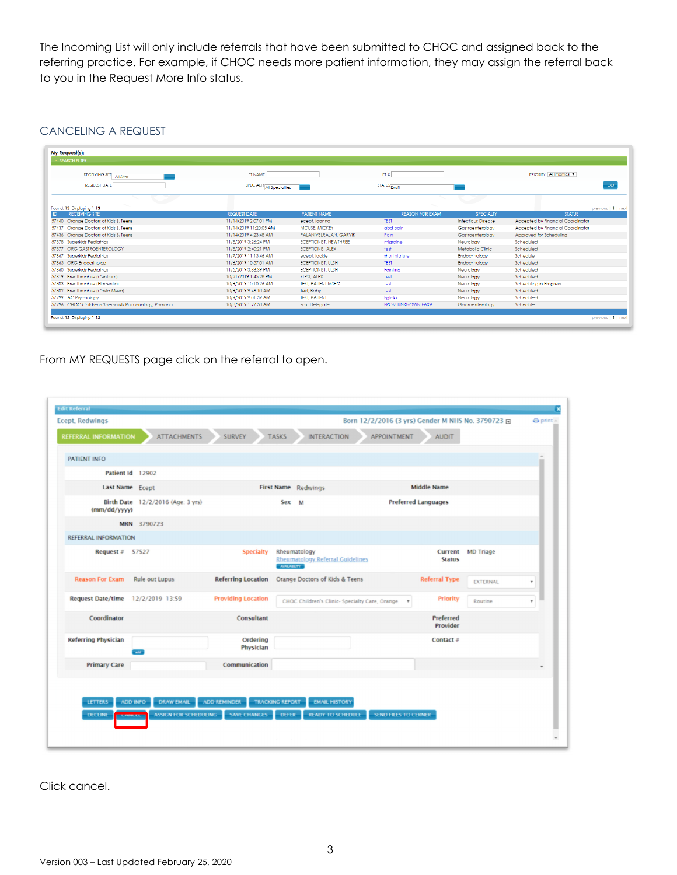The Incoming List will only include referrals that have been submitted to CHOC and assigned back to the referring practice. For example, if CHOC needs more patient information, they may assign the referral back to you in the Request More Info status.

# CANCELING A REQUEST

| <b>SEARCH FILTER</b>                                  |                           |                              |                         |                           |                                   |
|-------------------------------------------------------|---------------------------|------------------------------|-------------------------|---------------------------|-----------------------------------|
| RECEIVING SITE <sub>11-All</sub> Sites-               | PT NAME                   |                              | PT #                    |                           | <b>PRIORITY All Priorities V</b>  |
| <b>REQUEST DATE</b>                                   | SPECIALTY All Specialties |                              | STATUS <sub>Draft</sub> |                           | GO                                |
|                                                       |                           |                              |                         |                           |                                   |
| Found: 13 Displaying 1-13                             |                           |                              |                         |                           | previous   1   next               |
| <b>RECEIVING SITE</b>                                 | <b>REQUEST DATE</b>       | <b>PATIENT NAME</b>          | <b>REASON FOR EXAM</b>  | SPECIALTY                 | <b>STATUS</b>                     |
| 57440 Orange Doctors of Kids & Teens                  | 11/14/2019 2:07:01 PM     | ecept, joanna                | <b>TEST</b>             | <b>Infectious Disease</b> | Accepted by Financial Coordinator |
| Orange Doctors of Kids & Teens<br>57437               | 11/14/2019 11:20:05 AM    | <b>MOUSE, MICKEY</b>         | abd pain                | Gastroenteroloav          | Accepted by Financial Coordinator |
| 57436 Orange Doctors of Kids & Teens                  | 11/14/2019 4:23:48 AM     | PALANIVELRAJAN, GARVIK       | Pain                    | Gastroenteroloav          | Approved for Schedulina           |
| 57378 Superkids Pediatrics                            | 11/8/2019 3:26:24 PM      | <b>ECEPTIONIST, NEWTHREE</b> | migraine                | Neurology                 | Scheduled                         |
| ORG GASTROENTEROLOGY<br>57377                         | 11/8/2019 2:40:21 PM      | <b>ECEPTIONIS, ALEX</b>      | test                    | Metabolic Clinic          | Scheduled                         |
| 57367 Superkids Pediatrics                            | 11/7/2019 11:15:46 AM     | ecept, jackie                | short stature           | Endocrinology             | Schedule                          |
| 57365 ORG Endocrinolog                                | 11/6/2019 10:57:01 AM     | ECEPTIONIST, ULSH            | TEST                    | Endocrinology             | Scheduled                         |
| 57360 Superkids Pediatrics                            | 11/5/2019 3:33:39 PM      | <b>ECEPTIONIST, ULSH</b>     | Fainting                | Neurology                 | Scheduled                         |
| 57319<br>Breathmobile (Centrum)                       | 10/21/2019 1:45:28 PM     | ZTEST, ALEX                  | Test                    | Neurology                 | Scheduled                         |
| 57303<br>Breathmobile (Placentia)                     | 10/9/2019 10:10:26 AM     | <b>TEST, PATIENT MSPQ</b>    | test                    | Neurology                 | Scheduling in Progress            |
| 57302 Breathmobile (Costa Mesa)                       | 10/9/2019 9:46:10 AM      | Test, Baby                   | test                    | Neurology                 | Scheduled                         |
| 57299 AC Psychology                                   | 10/9/2019 9:01:59 AM      | <b>TEST, PATIENT</b>         | kafdkk                  | Neurology                 | Scheduled                         |
| 57296 CHOC Children's Specialists Pulmonology, Pomona | 10/8/2019 1:27:50 AM      | Fax, Delegate                | FROM UNKNOWN FAX#       | Gastroenterology          | Schedule                          |

From MY REQUESTS page click on the referral to open.

| <b>Ecept, Redwings</b><br><b>REFERRAL INFORMATION</b> | <b>ATTACHMENTS</b>                                                                    | <b>SURVEY</b>                              | <b>TASKS</b><br><b>INTERACTION</b>                                                         | Born 12/2/2016 (3 yrs) Gender M NHS No. 3790723 F<br>APPOINTMENT | <b>AUDIT</b>                    |                  | <b>⊕</b> print ▲ |
|-------------------------------------------------------|---------------------------------------------------------------------------------------|--------------------------------------------|--------------------------------------------------------------------------------------------|------------------------------------------------------------------|---------------------------------|------------------|------------------|
| PATIENT INFO                                          |                                                                                       |                                            |                                                                                            |                                                                  |                                 |                  |                  |
|                                                       | Patient Id 12902                                                                      |                                            |                                                                                            |                                                                  |                                 |                  |                  |
|                                                       | Last Name Ecept                                                                       |                                            | First Name Redwings                                                                        |                                                                  | <b>Middle Name</b>              |                  |                  |
| (mm/dd/yyyy)                                          | Birth Date 12/2/2016 (Age: 3 yrs)                                                     |                                            | Sex M                                                                                      |                                                                  | <b>Preferred Languages</b>      |                  |                  |
|                                                       | MRN 3790723                                                                           |                                            |                                                                                            |                                                                  |                                 |                  |                  |
| REFERRAL INFORMATION                                  |                                                                                       |                                            |                                                                                            |                                                                  |                                 |                  |                  |
| Request $\neq$ 57527                                  |                                                                                       | Specialty                                  | Rheumatology<br><b>Rheumatology Referral Guidelines</b><br><b>AVALABLITY</b>               |                                                                  | <b>Current</b><br><b>Status</b> | <b>MD Triage</b> |                  |
| <b>Reason For Exam</b>                                | Rule out Lupus                                                                        | <b>Referring Location</b>                  | Orange Doctors of Kids & Teens                                                             |                                                                  | <b>Referral Type</b>            | EXTERNAL         |                  |
| <b>Request Date/time</b>                              | 12/2/2019 13:59                                                                       | <b>Providing Location</b>                  | CHOC Children's Clinic- Specialty Care, Orange                                             | $\scriptstyle\rm w$                                              | <b>Priority</b>                 | Routine          |                  |
| Coordinator                                           |                                                                                       | Consultant                                 |                                                                                            |                                                                  | Preferred<br>Provider           |                  |                  |
| <b>Referring Physician</b>                            | $-1$                                                                                  | Ordering<br>Physician                      |                                                                                            |                                                                  | Contact #                       |                  |                  |
| <b>Primary Care</b>                                   |                                                                                       | Communication                              |                                                                                            |                                                                  |                                 |                  |                  |
| <b>LETTERS</b><br><b>DECLINE</b>                      | <b>DRAW EMAIL</b><br><b>ADD INFO</b><br><b>ASSIGN FOR SCHEDULING</b><br><b>ITILEL</b> | <b>ADD REMINDER</b><br><b>SAVE CHANGES</b> | <b>TRACKING REPORT</b><br><b>EMAIL HISTORY</b><br><b>READY TO SCHEDULE</b><br><b>DEFER</b> | SEND FILES TO CERNER                                             |                                 |                  |                  |

Click cancel.